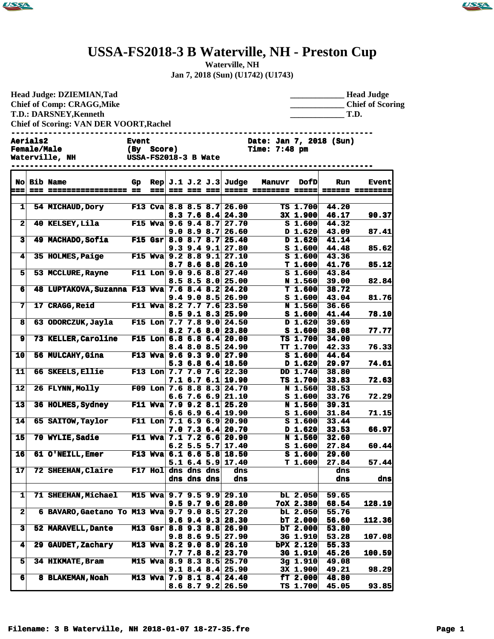



## **USSA-FS2018-3 B Waterville, NH - Preston Cup**

**Waterville, NH**

**Jan 7, 2018 (Sun) (U1742) (U1743)**

| Head Judge: DZIEMIAN, Tad<br><b>Chief of Comp: CRAGG, Mike</b><br><b>T.D.: DARSNEY, Kenneth</b><br><b>Chief of Scoring: VAN DER VOORT, Rachel</b> |  |                                                 |                                                    |           |  |                            |  |                                                          | <b>Head Judge</b><br><b>Chief of Scoring</b><br>T.D.                     |                                    |                                     |                |  |
|---------------------------------------------------------------------------------------------------------------------------------------------------|--|-------------------------------------------------|----------------------------------------------------|-----------|--|----------------------------|--|----------------------------------------------------------|--------------------------------------------------------------------------|------------------------------------|-------------------------------------|----------------|--|
| Aerials2<br><b>Female/Male</b><br>Waterville, NH                                                                                                  |  |                                                 | <b>Event</b><br>(By Score)<br>USSA-FS2018-3 B Wate |           |  |                            |  |                                                          | ---------------------<br>Date: Jan 7, 2018 (Sun)<br><b>Time: 7:48 pm</b> |                                    |                                     |                |  |
|                                                                                                                                                   |  | No Bib Name                                     |                                                    | $==$      |  |                            |  | Gp Rep $J.1 J.2 J.3$ Judge                               | <b>Manuvr</b><br><u> 222 222 223 22222 22222222 22222</u>                | <b>DofD</b>                        | <b>Run</b><br><b>====== =======</b> | <b>Event</b>   |  |
| $\mathbf{1}$                                                                                                                                      |  | 54 MICHAUD, Dory                                |                                                    |           |  |                            |  | F13 Cva 8.8 8.5 8.7 26.00                                |                                                                          | $TS$ 1.700                         | 44.20                               |                |  |
| $\overline{\mathbf{2}}$                                                                                                                           |  | 40 KELSEY, Lila F15 Wva 9.6 9.4 8.7 27.70       |                                                    |           |  |                            |  | $8.3$ 7.6 $8.4$ 24.30<br>9.08.98.726.60                  |                                                                          | $3x$ 1.900<br>$S_1.600$<br>D 1.620 | 46.17<br>44.32<br>43.09             | 90.37<br>87.41 |  |
| 3                                                                                                                                                 |  | 49 MACHADO, Sofia F15 Gsr 8.0 8.7 8.7 25.40     |                                                    |           |  |                            |  | $9.3$ $9.4$ $9.1$ $27.80$                                |                                                                          | D 1.620<br>S <sub>1.600</sub>      | 41.14<br>44.48                      | 85.62          |  |
| 4                                                                                                                                                 |  | 35 HOLMES, Paige F15 Wva 9.2 8.8 9.1 27.10      |                                                    |           |  |                            |  | 8.78.68.826.10                                           |                                                                          | $S_1.600$<br>T 1.600               | 43.36<br>41.76                      | 85.12          |  |
| 5                                                                                                                                                 |  | 53 MCCLURE, Rayne F11 Lon 9.0 9.6 8.8 27.40     |                                                    |           |  |                            |  | $8.5$ $8.5$ $8.0$ 25.00                                  |                                                                          | $S_1.600$<br><b>N</b> 1.560        | 43.84<br>39.00                      | 82.84          |  |
| 6                                                                                                                                                 |  | 48 LUPTAKOVA, Suzanna F13 Wva 7.6 8.4 8.2 24.20 |                                                    |           |  |                            |  | $9.4$ 9.0 8.5 26.90                                      |                                                                          | T 1.600<br>S <sub>1.600</sub>      | 38.72<br>43.04                      | 81.76          |  |
| 7                                                                                                                                                 |  | <b>17 CRAGG, Reid</b>                           |                                                    |           |  |                            |  | F11 Wva 8.2 7.7 7.6 23.50<br>$8.5$ 9.1 $8.3$ 25.90       |                                                                          | N 1.560<br>$S_1.600$               | 36.66<br>41.44                      | 78.10          |  |
| 8                                                                                                                                                 |  | 63 ODORCZUK, Jayla F15 Lon 7.7 7.8 9.0 24.50    |                                                    |           |  |                            |  | $8.2$ 7.6 8.0 23.80                                      |                                                                          | D 1.620<br>$S_1.600$               | 39.69<br>38.08                      | 77.77          |  |
| $\mathbf{9}$                                                                                                                                      |  | 73 KELLER, Caroline F15 Lon 6.8 6.8 6.4 20.00   |                                                    |           |  |                            |  | $8.4$ 8.0 8.5 24.90                                      |                                                                          | TS 1.700<br>TT 1.700               | 34.00<br>42.33                      | 76.33          |  |
| 10                                                                                                                                                |  | <b>56 MULCAHY, Gina</b>                         |                                                    |           |  |                            |  | F13 Wva $9.6$ 9.3 9.0 27.90<br>$5.3$ 6.8 6.4 18.50       |                                                                          | S <sub>1.600</sub><br>D 1.620      | 44.64<br>29.97                      | 74.61          |  |
| 11                                                                                                                                                |  | 66 SKEELS, Ellie                                |                                                    |           |  |                            |  | F13 Lon $7.7$ 7.0 7.6 22.30<br>$7.1$ 6.7 6.1 19.90       |                                                                          | DD 1.740<br>$TS$ 1.700             | 38.80<br>33.83                      | 72.63          |  |
| 12                                                                                                                                                |  | 26 FLYNN, Molly F09 Lon 7.6 8.8 8.3 24.70       |                                                    |           |  |                            |  | $6.6$ 7.6 $6.9$ 21.10                                    |                                                                          | N 1.560<br>$S_1.600$               | 38.53<br>33.76                      | 72.29          |  |
| 13                                                                                                                                                |  | 36 HOLMES, Sydney F11 Wva 7.9 9.2 8.1 25.20     |                                                    |           |  |                            |  | $6.66.96.4$ 19.90                                        |                                                                          | N 1.560<br>$S_1.600$               | 39.31<br>31.84                      | 71.15          |  |
| 14                                                                                                                                                |  | 65 SAITOW, Taylor                               |                                                    |           |  |                            |  | F11 Lon $7.1$ 6.9 6.9 20.90<br>$7.0$ $7.3$ $6.4$ $20.70$ |                                                                          | $S_1.600$<br>D 1.620               | 33.44<br>33.53                      | 66.97          |  |
| 15                                                                                                                                                |  | 70 WYLIE, Sadie                                 |                                                    |           |  |                            |  | F11 Wva 7.1 7.2 6.6 20.90<br>$6.2$ 5.5 5.7 17.40         |                                                                          | N 1.560<br>$S_1.600$               | 32.60<br>27.84                      | 60.44          |  |
| 16                                                                                                                                                |  | 61 O'NEILL, Emer                                |                                                    |           |  |                            |  | F13 Wva 6.1 6.6 5.8 18.50<br>$5.1$ 6.4 5.9 17.40         |                                                                          | T1.600                             | $S = 1.600$ 29.60<br>27.84          | 57.44          |  |
| 17                                                                                                                                                |  | 72 SHEEHAN, Claire                              |                                                    | $F17$ Hol |  | dns dns dns<br>dns dns dns |  | dns<br>dns                                               |                                                                          |                                    | dns<br>dns                          | dns            |  |
| 1                                                                                                                                                 |  | 71 SHEEHAN, Michael                             |                                                    |           |  |                            |  | M15 Wya 9.7 9.5 9.9 29.10<br>$9.5$ $9.7$ $9.6$ 28.80     |                                                                          | $bL$ 2.050<br>7oX 2.380            | 59.65<br>68.54                      | 128.19         |  |
| $\overline{\mathbf{2}}$                                                                                                                           |  | 6 BAVARO, Gaetano To M13 Wva 9.7 9.0 8.5 27.20  |                                                    |           |  |                            |  | $9.6$ $9.4$ $9.3$ $28.30$                                |                                                                          | $bL$ 2.050<br>bT 2.000             | 55.76<br>56.60                      | 112.36         |  |
| 3                                                                                                                                                 |  | 52 MARAVELL, Dante                              |                                                    |           |  |                            |  | M13 Gsr 8.8 9.3 8.8 26.90<br>$9.8$ 8.6 $9.5$ 27.90       |                                                                          | $bT$ 2.000<br>3G 1.910             | 53.80<br>53.28                      | 107.08         |  |
| 4                                                                                                                                                 |  | 29 GAUDET, Zachary                              |                                                    |           |  |                            |  | M13 Wva 8.2 9.0 8.9 26.10<br>$7.7$ $7.8$ $8.2$ 23.70     |                                                                          | bPX 2.120<br>3G 1.910              | 55.33<br>45.26                      | 100.59         |  |
| 5                                                                                                                                                 |  | 34 HIKMATE, Bram                                |                                                    |           |  |                            |  | M15 Wva 8.9 8.3 8.5 25.70<br>$9.18.48.4$ 25.90           |                                                                          | $3g$ 1.910<br>3X 1.900             | 49.08<br>49.21                      | 98.29          |  |
| 6                                                                                                                                                 |  | 8 BLAKEMAN, Noah                                |                                                    |           |  |                            |  | M13 Wva 7.9 8.1 8.4 24.40<br>$8.6$ $8.7$ $9.2$ $26.50$   |                                                                          | ET 2.000<br>$TS$ 1.700             | 48.80<br>45.05                      | 93.85          |  |